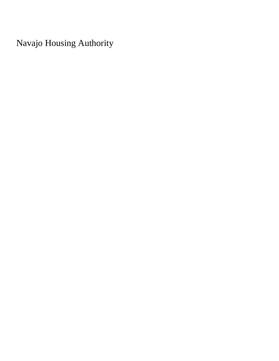Navajo Housing Authority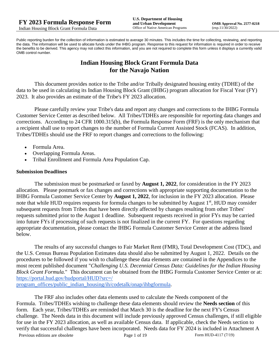Public reporting burden for the collection of information is estimated to average 30 minutes. This includes the time for collecting, reviewing, and reporting the data. The information will be used to allocate funds under the IHBG program. Response to this request for information is required in order to receive the benefits to be derived. This agency may not collect this information, and you are not required to complete this form unless it displays a currently valid OMB control number.

# **Indian Housing Block Grant Formula Data for the Navajo Nation**

This document provides notice to the Tribe and/or Tribally designated housing entity (TDHE) of the data to be used in calculating its Indian Housing Block Grant (IHBG) program allocation for Fiscal Year (FY) 2023. It also provides an estimate of the Tribe's FY 2023 allocation.

Please carefully review your Tribe's data and report any changes and corrections to the IHBG Formula Customer Service Center as described below. All Tribes/TDHEs are responsible for reporting data changes and corrections. According to 24 CFR 1000.315(b), the Formula Response Form (FRF) is the only mechanism that a recipient shall use to report changes to the number of Formula Current Assisted Stock (FCAS). In addition, Tribes/TDHEs should use the FRF to report changes and corrections to the following:

- Formula Area.
- Overlapping Formula Areas.
- Tribal Enrollment and Formula Area Population Cap.

#### **Submission Deadlines**

The submission must be postmarked or faxed by **August 1, 2022**, for consideration in the FY 2023 allocation. Please postmark or fax changes and corrections with appropriate supporting documentation to the IHBG Formula Customer Service Center by **August 1, 2022**, for inclusion in the FY 2023 allocation. Please note that while HUD requires requests for formula changes to be submitted by August 1<sup>st</sup>, HUD may consider subsequent requests from Tribes that have been directly affected by changes resulting from other Tribes' requests submitted prior to the August 1 deadline. Subsequent requests received in prior FYs may be carried into future FYs if processing of such requests is not finalized in the current FY. For questions regarding appropriate documentation, please contact the IHBG Formula Customer Service Center at the address listed below.

The results of any successful changes to Fair Market Rent (FMR), Total Development Cost (TDC), and the U.S. Census Bureau Population Estimates data should also be submitted by August 1, 2022. Details on the procedures to be followed if you wish to challenge these data elements are contained in the Appendices to the most recent published document "*Challenging U.S. Decennial Census Data: Guidelines for the Indian Housing Block Grant Formula.*" This document can be obtained from the IHBG Formula Customer Service Center or at: [https://portal.hud.gov/hudportal/HUD?src=/](https://portal.hud.gov/hudportal/HUD?src=/program_offices/public_indian_housing/ih/codetalk/onap/ihbgformula) 

[program\\_offices/public\\_indian\\_housing/ih/codetalk/onap/ihbgformula.](https://portal.hud.gov/hudportal/HUD?src=/program_offices/public_indian_housing/ih/codetalk/onap/ihbgformula)

Previous editions are obsolete Page 1 of 19 Form HUD-4117 (7/19) The FRF also includes other data elements used to calculate the Needs component of the Formula. Tribes/TDHEs wishing to challenge these data elements should review the **Needs section** of this form. Each year, Tribes/TDHEs are reminded that March 30 is the deadline for the next FY's Census challenge. The Needs data in this document will include previously approved Census challenges, if still eligible for use in the FY 2023 allocation, as well as available Census data. If applicable, check the Needs section to verify that successful challenges have been incorporated. Needs data for FY 2024 is included in Attachment A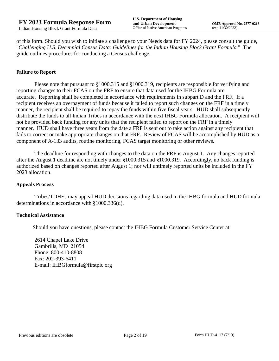of this form. Should you wish to initiate a challenge to your Needs data for FY 2024, please consult the guide, "*Challenging U.S. Decennial Census Data: Guidelines for the Indian Housing Block Grant Formula.*" The guide outlines procedures for conducting a Census challenge.

#### **Failure to Report**

Please note that pursuant to §1000.315 and §1000.319, recipients are responsible for verifying and reporting changes to their FCAS on the FRF to ensure that data used for the IHBG Formula are accurate. Reporting shall be completed in accordance with requirements in subpart D and the FRF. If a recipient receives an overpayment of funds because it failed to report such changes on the FRF in a timely manner, the recipient shall be required to repay the funds within five fiscal years. HUD shall subsequently distribute the funds to all Indian Tribes in accordance with the next IHBG Formula allocation. A recipient will not be provided back funding for any units that the recipient failed to report on the FRF in a timely manner. HUD shall have three years from the date a FRF is sent out to take action against any recipient that fails to correct or make appropriate changes on that FRF. Review of FCAS will be accomplished by HUD as a component of A-133 audits, routine monitoring, FCAS target monitoring or other reviews.

The deadline for responding with changes to the data on the FRF is August 1. Any changes reported after the August 1 deadline are not timely under §1000.315 and §1000.319. Accordingly, no back funding is authorized based on changes reported after August 1; nor will untimely reported units be included in the FY 2023 allocation.

#### **Appeals Process**

Tribes/TDHEs may appeal HUD decisions regarding data used in the IHBG formula and HUD formula determinations in accordance with §1000.336(d).

#### **Technical Assistance**

Should you have questions, please contact the IHBG Formula Customer Service Center at:

2614 Chapel Lake Drive Gambrills, MD 21054 Phone: 800-410-8808 Fax: 202-393-6411 E-mail: IHBGformula@firstpic.org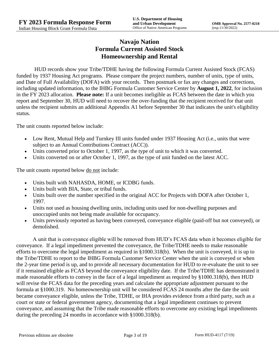# **Navajo Nation Formula Current Assisted Stock Homeownership and Rental**

HUD records show your Tribe/TDHE having the following Formula Current Assisted Stock (FCAS) funded by 1937 Housing Act programs. Please compare the project numbers, number of units, type of units, and Date of Full Availability (DOFA) with your records. Then postmark or fax any changes and corrections, including updated information, to the IHBG Formula Customer Service Center by **August 1, 2022**, for inclusion in the FY 2023 allocation. **Please note:** If a unit becomes ineligible as FCAS between the date in which you report and September 30, HUD will need to recover the over-funding that the recipient received for that unit unless the recipient submits an additional Appendix A1 before September 30 that indicates the unit's eligibility status.

The unit counts reported below include:

- Low Rent, Mutual Help and Turnkey III units funded under 1937 Housing Act (i.e., units that were subject to an Annual Contributions Contract (ACC)).
- Units converted prior to October 1, 1997, as the type of unit to which it was converted.
- Units converted on or after October 1, 1997, as the type of unit funded on the latest ACC.

The unit counts reported below <u>do not</u> include:

- Units built with NAHASDA, HOME, or ICDBG funds.
- Units built with BIA, State, or tribal funds.
- Units built over the number specified in the original ACC for Projects with DOFA after October 1, 1997.
- Units not used as housing dwelling units, including units used for non-dwelling purposes and unoccupied units not being made available for occupancy.
- Units previously reported as having been conveyed, conveyance eligible (paid-off but not conveyed), or demolished.

A unit that is conveyance eligible will be removed from HUD's FCAS data when it becomes eligible for conveyance. If a legal impediment prevented the conveyance, the Tribe/TDHE needs to make reasonable efforts to overcome the legal impediment as required in §1000.318(b). When the unit is conveyed, it is up to the Tribe/TDHE to report to the IHBG Formula Customer Service Center when the unit is conveyed or when the 2-year time period is up, and to provide all necessary documentation for HUD to re-evaluate the unit to see if it remained eligible as FCAS beyond the conveyance eligibility date. If the Tribe/TDHE has demonstrated it made reasonable efforts to convey in the face of a legal impediment as required by §1000.318(b), then HUD will revise the FCAS data for the preceding years and calculate the appropriate adjustment pursuant to the formula at §1000.319. No homeownership unit will be considered FCAS 24 months after the date the unit became conveyance eligible, unless the Tribe, TDHE, or IHA provides evidence from a third party, such as a court or state or federal government agency, documenting that a legal impediment continues to prevent conveyance, and assuming that the Tribe made reasonable efforts to overcome any existing legal impediments during the preceding 24 months in accordance with §1000.318(b).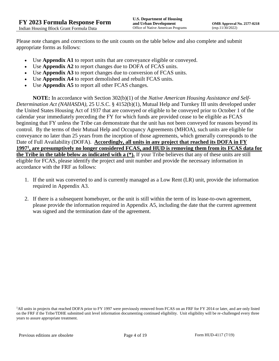Please note changes and corrections to the unit counts on the table below and also complete and submit appropriate forms as follows:

- Use **Appendix A1** to report units that are conveyance eligible or conveyed.
- Use **Appendix A2** to report changes due to DOFA of FCAS units.
- Use **Appendix A3** to report changes due to conversion of FCAS units.
- Use **Appendix A4** to report demolished and rebuilt FCAS units.
- Use **Appendix A5** to report all other FCAS changes.

**NOTE:** In accordance with Section 302(b)(1) of the *Native American Housing Assistance and Self-Determination Act (NAHASDA)*, 25 U.S.C. § 4152(b)(1), Mutual Help and Turnkey III units developed under the United States Housing Act of 1937 that are conveyed or eligible to be conveyed prior to October 1 of the calendar year immediately preceding the FY for which funds are provided cease to be eligible as FCAS beginning that FY unless the Tribe can demonstrate that the unit has not been conveyed for reasons beyond its control. By the terms of their Mutual Help and Occupancy Agreements (MHOA), such units are eligible for conveyance no later than 25 years from the inception of those agreements, which generally corresponds to the Date of Full Availability (DOFA). **Accordingly, all units in any project that reached its DOFA in FY 1997<sup>1</sup> , are presumptively no longer considered FCAS, and HUD is removing them from its FCAS data for the Tribe in the table below as indicated with a (\*).** If your Tribe believes that any of these units are still eligible for FCAS, please identify the project and unit number and provide the necessary information in accordance with the FRF as follows:

- 1. If the unit was converted to and is currently managed as a Low Rent (LR) unit, provide the information required in Appendix A3.
- 2. If there is a subsequent homebuyer, or the unit is still within the term of its lease-to-own agreement, please provide the information required in Appendix A5, including the date that the current agreement was signed and the termination date of the agreement.

<sup>&</sup>lt;sup>1</sup>All units in projects that reached DOFA prior to FY 1997 were previously removed from FCAS on an FRF for FY 2014 or later, and are only listed on the FRF if the Tribe/TDHE submitted unit level information documenting continued eligibility. Unit eligibility will be re-challenged every three years to assure appropriate treatment.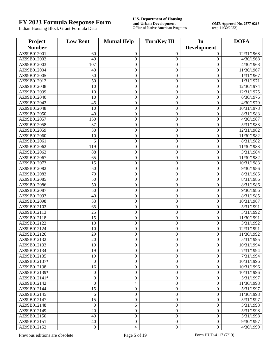# **FY 2023 Formula Response Form U.S. Department of Housing**

Indian Housing Block Grant Formula Data

**and Urban Development**<br> **CMB Approval No. 2577-0218**<br>
OMB Approval No. 2577-0218<br> **OMB Approval No. 2577-0218**<br>  $\exp.11/30/2022$ 

| Project       | <b>Low Rent</b>  | <b>Mutual Help</b> | <b>TurnKey III</b> |                    | <b>DOFA</b>            |
|---------------|------------------|--------------------|--------------------|--------------------|------------------------|
| <b>Number</b> |                  |                    |                    | <b>Development</b> |                        |
| AZ99B012001   | 60               | $\mathbf{0}$       | $\mathbf{0}$       | $\mathbf{0}$       | 12/31/1968             |
| AZ99B012002   | 49               | $\boldsymbol{0}$   | $\boldsymbol{0}$   | $\boldsymbol{0}$   | 4/30/1968              |
| AZ99B012003   | 107              | $\boldsymbol{0}$   | $\mathbf{0}$       | $\boldsymbol{0}$   | 4/30/1968              |
| AZ99B012004   | 40               | $\boldsymbol{0}$   | $\boldsymbol{0}$   | $\boldsymbol{0}$   | 11/30/1967             |
| AZ99B012005   | 50               | $\boldsymbol{0}$   | $\boldsymbol{0}$   | $\boldsymbol{0}$   | 1/31/1967              |
| AZ99B012012   | 50               | $\boldsymbol{0}$   | $\boldsymbol{0}$   | $\mathbf{0}$       | 1/31/1971              |
| AZ99B012038   | 10               | $\boldsymbol{0}$   | $\boldsymbol{0}$   | $\boldsymbol{0}$   | 12/30/1974             |
| AZ99B012039   | 10               | $\boldsymbol{0}$   | $\boldsymbol{0}$   | $\boldsymbol{0}$   | 12/31/1975             |
| AZ99B012040   | 10               | $\boldsymbol{0}$   | $\boldsymbol{0}$   | $\boldsymbol{0}$   | 6/30/1976              |
| AZ99B012043   | 45               | $\boldsymbol{0}$   | $\boldsymbol{0}$   | $\boldsymbol{0}$   | 4/30/1979              |
| AZ99B012048   | 10               | $\boldsymbol{0}$   | $\boldsymbol{0}$   | $\boldsymbol{0}$   | 10/31/1978             |
| AZ99B012050   | 40               | $\boldsymbol{0}$   | $\boldsymbol{0}$   | $\boldsymbol{0}$   | 8/31/1983              |
| AZ99B012057   | 150              | $\boldsymbol{0}$   | $\boldsymbol{0}$   | $\boldsymbol{0}$   | 4/30/1987              |
| AZ99B012058   | 37               | $\boldsymbol{0}$   | $\boldsymbol{0}$   | $\boldsymbol{0}$   | $\overline{5/31/1983}$ |
| AZ99B012059   | 30               | $\boldsymbol{0}$   | $\boldsymbol{0}$   | $\boldsymbol{0}$   | 12/31/1982             |
| AZ99B012060   | 10               |                    | $\boldsymbol{0}$   | $\boldsymbol{0}$   | 11/30/1982             |
| AZ99B012061   |                  | $\boldsymbol{0}$   |                    |                    |                        |
| AZ99B012062   | 6<br>119         | $\boldsymbol{0}$   | $\boldsymbol{0}$   | $\mathbf{0}$       | 8/31/1982              |
|               |                  | $\boldsymbol{0}$   | $\boldsymbol{0}$   | $\boldsymbol{0}$   | 11/30/1983             |
| AZ99B012063   | 88               | $\boldsymbol{0}$   | $\mathbf{0}$       | $\boldsymbol{0}$   | 3/31/1984              |
| AZ99B012067   | 65               | $\boldsymbol{0}$   | $\boldsymbol{0}$   | $\boldsymbol{0}$   | 11/30/1982             |
| AZ99B012073   | 15               | $\boldsymbol{0}$   | $\boldsymbol{0}$   | $\boldsymbol{0}$   | 10/31/1983             |
| AZ99B012082   | 50               | $\boldsymbol{0}$   | $\boldsymbol{0}$   | $\mathbf{0}$       | 9/30/1986              |
| AZ99B012083   | 70               | $\boldsymbol{0}$   | $\boldsymbol{0}$   | $\boldsymbol{0}$   | 8/31/1985              |
| AZ99B012085   | 50               | $\boldsymbol{0}$   | $\boldsymbol{0}$   | $\boldsymbol{0}$   | 8/31/1986              |
| AZ99B012086   | 50               | $\boldsymbol{0}$   | $\boldsymbol{0}$   | $\boldsymbol{0}$   | 8/31/1986              |
| AZ99B012087   | 50               | $\boldsymbol{0}$   | $\boldsymbol{0}$   | $\boldsymbol{0}$   | 9/30/1986              |
| AZ99B012093   | 40               | $\boldsymbol{0}$   | $\mathbf{0}$       | $\boldsymbol{0}$   | 8/31/1985              |
| AZ99B012098   | 33               | $\boldsymbol{0}$   | $\boldsymbol{0}$   | $\boldsymbol{0}$   | 10/31/1987             |
| AZ99B012103   | 65               | $\boldsymbol{0}$   | $\boldsymbol{0}$   | $\boldsymbol{0}$   | 5/31/1991              |
| AZ99B012113   | 25               | $\boldsymbol{0}$   | $\boldsymbol{0}$   | $\mathbf{0}$       | 5/31/1992              |
| AZ99B012118   | 15               | $\boldsymbol{0}$   | $\boldsymbol{0}$   | $\boldsymbol{0}$   | 11/30/1991             |
| AZ99B012122   | 10               | $\boldsymbol{0}$   | $\boldsymbol{0}$   | $\boldsymbol{0}$   | 3/31/1992              |
| AZ99B012124   | 10               | $\boldsymbol{0}$   | $\mathbf{0}$       | $\boldsymbol{0}$   | 12/31/1991             |
| AZ99B012126   | 29               | $\boldsymbol{0}$   | $\boldsymbol{0}$   | $\boldsymbol{0}$   | 11/30/1992             |
| AZ99B012132   | 20               | $\overline{0}$     | $\boldsymbol{0}$   | $\boldsymbol{0}$   | 5/31/1995              |
| AZ99B012133   | 19               | 0                  | $\theta$           | $\boldsymbol{0}$   | 10/31/1994             |
| AZ99B012134   | 19               | $\boldsymbol{0}$   | $\Omega$           | $\overline{0}$     | 7/31/1994              |
| AZ99B012135   | 19               | $\boldsymbol{0}$   | $\mathbf{0}$       | $\boldsymbol{0}$   | 7/31/1994              |
| AZ99B012137*  | $\boldsymbol{0}$ | $\boldsymbol{0}$   | $\mathbf{0}$       | $\boldsymbol{0}$   | 10/31/1996             |
| AZ99B012138   | 16               | $\boldsymbol{0}$   | $\mathbf{0}$       | $\Omega$           | 10/31/1996             |
| AZ99B012139*  | $\boldsymbol{0}$ | $\boldsymbol{0}$   | $\mathbf{0}$       | $\mathbf{0}$       | 10/31/1996             |
| AZ99B012141*  | $\overline{0}$   | $\boldsymbol{0}$   | $\mathbf{0}$       | $\boldsymbol{0}$   | 5/31/1997              |
| AZ99B012142   | $\boldsymbol{0}$ | $\overline{4}$     | $\mathbf{0}$       | $\boldsymbol{0}$   | 11/30/1998             |
| AZ99B012144   | 15               | $\boldsymbol{0}$   | $\mathbf{0}$       | $\boldsymbol{0}$   | 5/31/1997              |
| AZ99B012145   | 6                | $\boldsymbol{0}$   | $\mathbf{0}$       | $\boldsymbol{0}$   | 11/30/1998             |
| AZ99B012147   | 15               | $\boldsymbol{0}$   | $\mathbf{0}$       | $\mathbf{0}$       | 5/31/1997              |
| AZ99B012148   | $\boldsymbol{0}$ | 6                  | $\mathbf{0}$       | $\boldsymbol{0}$   | 5/31/1998              |
| AZ99B012149   | 20               | $\boldsymbol{0}$   | $\mathbf{0}$       | $\boldsymbol{0}$   | 5/31/1998              |
| AZ99B012150   | 40               | $\boldsymbol{0}$   | $\mathbf{0}$       | $\boldsymbol{0}$   | 5/31/1998              |
| AZ99B012151   | 40               | $\boldsymbol{0}$   | $\boldsymbol{0}$   | $\boldsymbol{0}$   | 9/30/1997              |
| AZ99B012152   | $\boldsymbol{0}$ | $\overline{4}$     | $\boldsymbol{0}$   | $\mathbf{0}$       | 4/30/1999              |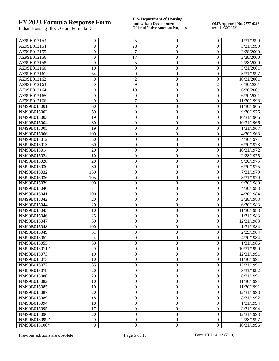# **FY 2023 Formula Response Form U.S. Department of Housing**

Indian Housing Block Grant Formula Data

**and Urban Development**<br> **CMB Approval No. 2577-0218**<br>
OMB Approval No. 2577-0218<br> **OMB Approval No. 2577-0218**<br>  $\exp.11/30/2022$ 

| AZ99B012153  | $\overline{0}$   | 5                | $\boldsymbol{0}$ | 0                | 1/31/1999  |
|--------------|------------------|------------------|------------------|------------------|------------|
| AZ99B012154  | $\overline{0}$   | 28               | $\boldsymbol{0}$ | $\overline{0}$   | 3/31/1999  |
| AZ99B012155  | $\overline{0}$   | 7                | $\boldsymbol{0}$ | $\overline{0}$   | 2/28/2000  |
| AZ99B012156  | $\boldsymbol{0}$ | 17               | $\boldsymbol{0}$ | $\boldsymbol{0}$ | 2/28/2000  |
| AZ99B012158  | $\overline{0}$   | 5                | $\boldsymbol{0}$ | $\overline{0}$   | 2/28/2000  |
| AZ99B012160  | 10               | $\boldsymbol{0}$ | $\boldsymbol{0}$ | $\boldsymbol{0}$ | 3/31/2001  |
| AZ99B012161  | 54               | $\boldsymbol{0}$ | $\boldsymbol{0}$ | $\boldsymbol{0}$ | 3/31/1997  |
| AZ99B012162  | $\theta$         | $\overline{c}$   | $\boldsymbol{0}$ | $\boldsymbol{0}$ | 10/31/2001 |
| AZ99B012163  | $\boldsymbol{0}$ | 9                | $\boldsymbol{0}$ | $\overline{c}$   | 6/30/2001  |
| AZ99B012164  | $\overline{0}$   | 19               | $\boldsymbol{0}$ | $\boldsymbol{0}$ | 6/30/2001  |
| AZ99B012165  | $\overline{0}$   | 9                | $\boldsymbol{0}$ | $\overline{0}$   | 6/30/2001  |
| AZ99B012166  | $\theta$         | $\overline{7}$   | $\boldsymbol{0}$ | $\overline{0}$   | 11/30/1998 |
| NM99B015001  | 60               | $\boldsymbol{0}$ | $\boldsymbol{0}$ | $\boldsymbol{0}$ | 11/30/1965 |
| NM99B015002  | 59               | $\boldsymbol{0}$ | $\boldsymbol{0}$ | $\boldsymbol{0}$ | 9/30/1976  |
| NM99B015003  | 19               | $\boldsymbol{0}$ | $\boldsymbol{0}$ | $\boldsymbol{0}$ | 10/31/1966 |
| NM99B015004  | 30               | $\boldsymbol{0}$ | $\boldsymbol{0}$ | $\boldsymbol{0}$ | 10/31/1966 |
| NM99B015005  | 19               | $\boldsymbol{0}$ | $\boldsymbol{0}$ | $\overline{0}$   | 1/31/1967  |
| NM99B015006  | 100              | $\boldsymbol{0}$ | $\boldsymbol{0}$ | $\boldsymbol{0}$ | 4/30/1968  |
| NM99B015012  | 50               | $\boldsymbol{0}$ | $\boldsymbol{0}$ | $\boldsymbol{0}$ | 4/30/1971  |
| NM99B015013  | 60               | $\boldsymbol{0}$ | $\boldsymbol{0}$ | $\boldsymbol{0}$ | 6/30/1973  |
| NM99B015014  | 20               | $\boldsymbol{0}$ | $\boldsymbol{0}$ | $\boldsymbol{0}$ | 10/31/1972 |
| NM99B015024  | 10               | $\boldsymbol{0}$ | $\boldsymbol{0}$ | $\boldsymbol{0}$ | 2/28/1975  |
| NM99B015028  | 20               | $\boldsymbol{0}$ | $\boldsymbol{0}$ | $\boldsymbol{0}$ | 9/30/1975  |
| NM99B015030  | 30               | $\boldsymbol{0}$ | $\boldsymbol{0}$ | $\overline{0}$   | 6/30/1975  |
| NM99B015032  | 150              | $\boldsymbol{0}$ | $\boldsymbol{0}$ | $\boldsymbol{0}$ | 7/31/1979  |
| NM99B015036  | 105              | $\boldsymbol{0}$ | $\boldsymbol{0}$ | $\boldsymbol{0}$ | 8/31/1979  |
| NM99B015039  | 90               | $\boldsymbol{0}$ | $\boldsymbol{0}$ | $\boldsymbol{0}$ | 9/30/1980  |
| NM99B015040  | 74               | $\boldsymbol{0}$ | $\boldsymbol{0}$ | $\boldsymbol{0}$ | 4/30/1983  |
| NM99B015041  | 100              | $\boldsymbol{0}$ | $\boldsymbol{0}$ | $\boldsymbol{0}$ | 4/30/1984  |
| NM99B015042  | 20               | $\boldsymbol{0}$ | $\boldsymbol{0}$ | $\boldsymbol{0}$ | 2/28/1983  |
| NM99B015044  | 20               | $\boldsymbol{0}$ | $\boldsymbol{0}$ | $\overline{0}$   | 6/30/1983  |
| NM99B015045  | 10               | $\boldsymbol{0}$ | $\boldsymbol{0}$ | $\boldsymbol{0}$ | 11/30/1983 |
| NM99B015046  | 25               | $\boldsymbol{0}$ | $\boldsymbol{0}$ | $\overline{0}$   | 1/31/1983  |
| NM99B015047  | 50               | $\boldsymbol{0}$ | $\boldsymbol{0}$ | $\boldsymbol{0}$ | 12/31/1983 |
| NM99B015048  | 100              | $\boldsymbol{0}$ | $\boldsymbol{0}$ | $\boldsymbol{0}$ | 1/31/1984  |
| NM99B015049  | 51               | $\boldsymbol{0}$ | $\boldsymbol{0}$ | $\overline{0}$   | 2/29/1984  |
| NM99B015052  | 4                | $\boldsymbol{0}$ | $\boldsymbol{0}$ | $\overline{0}$   | 4/30/1984  |
| NM99B015055  | 59               | $\theta$         | $\boldsymbol{0}$ | 0                | 1/31/1986  |
| NM99B015071* | $\Omega$         | $\boldsymbol{0}$ | $\overline{0}$   | $\overline{0}$   | 10/31/1990 |
| NM99B015073  | 10               | $\boldsymbol{0}$ | $\boldsymbol{0}$ | 0                | 12/31/1991 |
| NM99B015075  | 10               | $\boldsymbol{0}$ | $\boldsymbol{0}$ | 0                | 11/30/1991 |
| NM99B015077  | 35               | $\boldsymbol{0}$ | $\boldsymbol{0}$ | 0                | 12/31/1991 |
| NM99B015079  | 20               | $\boldsymbol{0}$ | $\boldsymbol{0}$ | 0                | 3/31/1992  |
| NM99B015080  | 20               | $\boldsymbol{0}$ | $\boldsymbol{0}$ | 0                | 8/31/1991  |
| NM99B015082  | 10               | $\boldsymbol{0}$ | $\boldsymbol{0}$ | 0                | 11/30/1991 |
| NM99B015085  | 10               | $\boldsymbol{0}$ | $\boldsymbol{0}$ | 0                | 11/30/1991 |
| NM99B015087  | 20               | $\boldsymbol{0}$ | $\boldsymbol{0}$ | 0                | 12/31/1993 |
| NM99B015089  | 18               | $\boldsymbol{0}$ | $\boldsymbol{0}$ | 0                | 8/31/1992  |
| NM99B015094  | 18               | $\boldsymbol{0}$ | $\boldsymbol{0}$ | 0                | 1/31/1994  |
| NM99B015095  | 17               | $\boldsymbol{0}$ | $\boldsymbol{0}$ | 0                | 3/31/1994  |
| NM99B015096  | 20               | $\boldsymbol{0}$ | $\boldsymbol{0}$ | $\mathbf{0}$     | 12/31/1993 |
| NM99B015099* | $\boldsymbol{0}$ | $\boldsymbol{0}$ | $\boldsymbol{0}$ | $\boldsymbol{0}$ | 2/28/1997  |
| NM99B015100* | $\boldsymbol{0}$ | $\boldsymbol{0}$ | $\boldsymbol{0}$ | $\boldsymbol{0}$ | 10/31/1996 |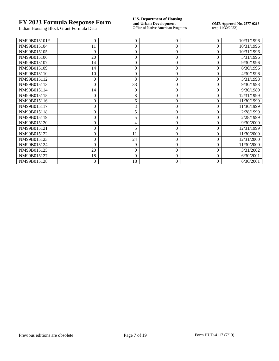Indian Housing Block Grant Formula Data

**FY 2023 Formula Response Form**<br> **FY 2023 Formula Response Form**<br> **Indian Housing Block Grant Formula Data**<br> **Office of Native American Programs** 

**OMB Approval No. 2577-0218**<br>(exp.11/30/2022)

| NM99B015101* | $\theta$       | $\boldsymbol{0}$ | 0            | 0              | 10/31/1996 |
|--------------|----------------|------------------|--------------|----------------|------------|
| NM99B015104  | 11             | $\boldsymbol{0}$ | $\theta$     | $\theta$       | 10/31/1996 |
| NM99B015105  | 9              | $\boldsymbol{0}$ | 0            | 0              | 10/31/1996 |
| NM99B015106  | 20             | $\boldsymbol{0}$ | 0            | $\overline{0}$ | 5/31/1996  |
| NM99B015107  | 14             | $\boldsymbol{0}$ | 0            | 0              | 9/30/1996  |
| NM99B015109  | 14             | $\boldsymbol{0}$ | 0            | 0              | 6/30/1996  |
| NM99B015110  | 10             | $\boldsymbol{0}$ | 0            | $\theta$       | 4/30/1996  |
| NM99B015112  | $\Omega$       | 8                | 0            | 0              | 5/31/1998  |
| NM99B015113  | $\theta$       | 33               | 0            | 0              | 9/30/1998  |
| NM99B015114  | 14             | 0                | 0            | 0              | 9/30/1980  |
| NM99B015115  | $\theta$       | 8                | 0            | 0              | 12/31/1999 |
| NM99B015116  | $\overline{0}$ | 6                | 0            | $\theta$       | 11/30/1999 |
| NM99B015117  |                | 3                | 0            | 0              | 11/30/1999 |
| NM99B015118  |                | 5                | 0            | 0              | 2/28/1999  |
| NM99B015119  |                | 5                | $\mathbf{0}$ | 0              | 2/28/1999  |
| NM99B015120  | $\theta$       | 4                | 0            | 0              | 9/30/2000  |
| NM99B015121  | $\Omega$       | 5                | 0            | $\theta$       | 12/31/1999 |
| NM99B015122  | $\theta$       | 11               | 0            | 0              | 11/30/2000 |
| NM99B015123  | $\theta$       | 24               | 0            | 0              | 12/31/2000 |
| NM99B015124  | $\Omega$       | 9                | 0            | 0              | 11/30/2000 |
| NM99B015125  | 20             | $\boldsymbol{0}$ | 0            | $\theta$       | 3/31/2002  |
| NM99B015127  | 18             | $\boldsymbol{0}$ | 0            | $\theta$       | 6/30/2001  |
| NM99B015128  | $\Omega$       | 18               | $\theta$     | 0              | 6/30/2001  |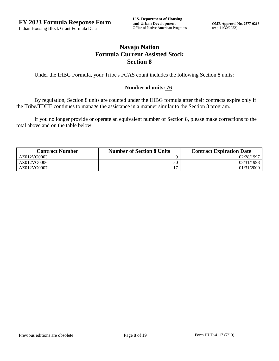# **Navajo Nation Formula Current Assisted Stock Section 8**

Under the IHBG Formula, your Tribe's FCAS count includes the following Section 8 units:

#### **Number of units: 76**

By regulation, Section 8 units are counted under the IHBG formula after their contracts expire only if the Tribe/TDHE continues to manage the assistance in a manner similar to the Section 8 program.

If you no longer provide or operate an equivalent number of Section 8, please make corrections to the total above and on the table below.

| <b>Contract Number</b> | <b>Number of Section 8 Units</b> | <b>Contract Expiration Date</b> |
|------------------------|----------------------------------|---------------------------------|
| AZ012VO0003            |                                  | 02/28/1997                      |
| AZ012VO0006            | 50                               | 08/31/1998                      |
| AZ012VO0007            |                                  | 01/31/2000                      |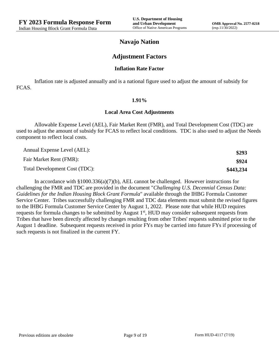# **Navajo Nation**

### **Adjustment Factors**

#### **Inflation Rate Factor**

Inflation rate is adjusted annually and is a national figure used to adjust the amount of subsidy for FCAS.

#### **1.91%**

#### **Local Area Cost Adjustments**

Allowable Expense Level (AEL), Fair Market Rent (FMR), and Total Development Cost (TDC) are used to adjust the amount of subsidy for FCAS to reflect local conditions. TDC is also used to adjust the Needs component to reflect local costs.

| Annual Expense Level (AEL):   | \$293     |
|-------------------------------|-----------|
| Fair Market Rent (FMR):       | \$924     |
| Total Development Cost (TDC): | \$443,234 |

In accordance with §1000.336(a)(7)(b), AEL cannot be challenged. However instructions for challenging the FMR and TDC are provided in the document "*Challenging U.S. Decennial Census Data: Guidelines for the Indian Housing Block Grant Formula*" available through the IHBG Formula Customer Service Center. Tribes successfully challenging FMR and TDC data elements must submit the revised figures to the IHBG Formula Customer Service Center by August 1, 2022. Please note that while HUD requires requests for formula changes to be submitted by August 1<sup>st</sup>, HUD may consider subsequent requests from Tribes that have been directly affected by changes resulting from other Tribes' requests submitted prior to the August 1 deadline. Subsequent requests received in prior FYs may be carried into future FYs if processing of such requests is not finalized in the current FY.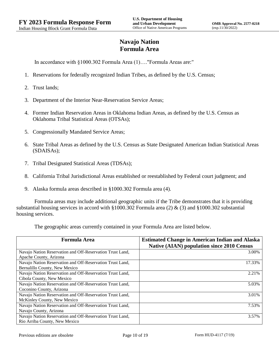# **Navajo Nation Formula Area**

In accordance with §1000.302 Formula Area (1)…."Formula Areas are:"

- 1. Reservations for federally recognized Indian Tribes, as defined by the U.S. Census;
- 2. Trust lands;
- 3. Department of the Interior Near-Reservation Service Areas;
- 4. Former Indian Reservation Areas in Oklahoma Indian Areas, as defined by the U.S. Census as Oklahoma Tribal Statistical Areas (OTSAs);
- 5. Congressionally Mandated Service Areas;
- 6. State Tribal Areas as defined by the U.S. Census as State Designated American Indian Statistical Areas (SDAISAs);
- 7. Tribal Designated Statistical Areas (TDSAs);
- 8. California Tribal Jurisdictional Areas established or reestablished by Federal court judgment; and
- 9. Alaska formula areas described in §1000.302 Formula area (4).

Formula areas may include additional geographic units if the Tribe demonstrates that it is providing substantial housing services in accord with §1000.302 Formula area (2) & (3) and §1000.302 substantial housing services.

The geographic areas currently contained in your Formula Area are listed below.

| <b>Formula Area</b>                                       | <b>Estimated Change in American Indian and Alaska</b><br><b>Native (AIAN) population since 2010 Census</b> |
|-----------------------------------------------------------|------------------------------------------------------------------------------------------------------------|
| Navajo Nation Reservation and Off-Reservation Trust Land, | 3.00%                                                                                                      |
| Apache County, Arizona                                    |                                                                                                            |
| Navajo Nation Reservation and Off-Reservation Trust Land, | 17.33%                                                                                                     |
| Bernalillo County, New Mexico                             |                                                                                                            |
| Navajo Nation Reservation and Off-Reservation Trust Land, | 2.21%                                                                                                      |
| Cibola County, New Mexico                                 |                                                                                                            |
| Navajo Nation Reservation and Off-Reservation Trust Land, | 5.03%                                                                                                      |
| Coconino County, Arizona                                  |                                                                                                            |
| Navajo Nation Reservation and Off-Reservation Trust Land, | 3.01%                                                                                                      |
| McKinley County, New Mexico                               |                                                                                                            |
| Navajo Nation Reservation and Off-Reservation Trust Land, | 7.53%                                                                                                      |
| Navajo County, Arizona                                    |                                                                                                            |
| Navajo Nation Reservation and Off-Reservation Trust Land, | 3.57%                                                                                                      |
| Rio Arriba County, New Mexico                             |                                                                                                            |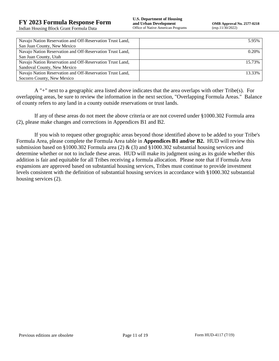| Navajo Nation Reservation and Off-Reservation Trust Land, | 5.95%  |
|-----------------------------------------------------------|--------|
| San Juan County, New Mexico                               |        |
| Navajo Nation Reservation and Off-Reservation Trust Land, | 0.20%  |
| San Juan County, Utah                                     |        |
| Navajo Nation Reservation and Off-Reservation Trust Land, | 15.73% |
| Sandoval County, New Mexico                               |        |
| Navajo Nation Reservation and Off-Reservation Trust Land, | 13.33% |
| Socorro County, New Mexico                                |        |

A "+" next to a geographic area listed above indicates that the area overlaps with other Tribe(s). For overlapping areas, be sure to review the information in the next section, "Overlapping Formula Areas." Balance of county refers to any land in a county outside reservations or trust lands.

If any of these areas do not meet the above criteria or are not covered under §1000.302 Formula area (2), please make changes and corrections in Appendices B1 and B2.

If you wish to request other geographic areas beyond those identified above to be added to your Tribe's Formula Area, please complete the Formula Area table in **Appendices B1 and/or B2.** HUD will review this submission based on §1000.302 Formula area (2) & (3) and §1000.302 substantial housing services and determine whether or not to include these areas. HUD will make its judgment using as its guide whether this addition is fair and equitable for all Tribes receiving a formula allocation. Please note that if Formula Area expansions are approved based on substantial housing services, Tribes must continue to provide investment levels consistent with the definition of substantial housing services in accordance with §1000.302 substantial housing services (2).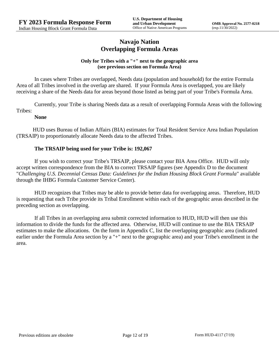# **Navajo Nation Overlapping Formula Areas**

#### **Only for Tribes with a "+" next to the geographic area (see previous section on Formula Area)**

In cases where Tribes are overlapped, Needs data (population and household) for the entire Formula Area of all Tribes involved in the overlap are shared. If your Formula Area is overlapped, you are likely receiving a share of the Needs data for areas beyond those listed as being part of your Tribe's Formula Area.

Currently, your Tribe is sharing Needs data as a result of overlapping Formula Areas with the following Tribes:

#### **None**

HUD uses Bureau of Indian Affairs (BIA) estimates for Total Resident Service Area Indian Population (TRSAIP) to proportionately allocate Needs data to the affected Tribes.

#### **The TRSAIP being used for your Tribe is: 192,067**

If you wish to correct your Tribe's TRSAIP, please contact your BIA Area Office. HUD will only accept written correspondence from the BIA to correct TRSAIP figures (see Appendix D to the document "*Challenging U.S. Decennial Census Data: Guidelines for the Indian Housing Block Grant Formula*" available through the IHBG Formula Customer Service Center).

HUD recognizes that Tribes may be able to provide better data for overlapping areas. Therefore, HUD is requesting that each Tribe provide its Tribal Enrollment within each of the geographic areas described in the preceding section as overlapping.

If all Tribes in an overlapping area submit corrected information to HUD, HUD will then use this information to divide the funds for the affected area. Otherwise, HUD will continue to use the BIA TRSAIP estimates to make the allocations. On the form in Appendix C, list the overlapping geographic area (indicated earlier under the Formula Area section by a "+" next to the geographic area) and your Tribe's enrollment in the area.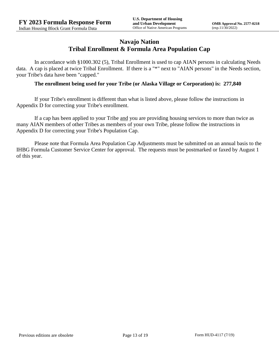# **Navajo Nation Tribal Enrollment & Formula Area Population Cap**

In accordance with §1000.302 (5), Tribal Enrollment is used to cap AIAN persons in calculating Needs data. A cap is placed at twice Tribal Enrollment. If there is a "\*" next to "AIAN persons" in the Needs section, your Tribe's data have been "capped."

#### **The enrollment being used for your Tribe (or Alaska Village or Corporation) is: 277,840**

If your Tribe's enrollment is different than what is listed above, please follow the instructions in Appendix D for correcting your Tribe's enrollment.

If a cap has been applied to your Tribe and you are providing housing services to more than twice as many AIAN members of other Tribes as members of your own Tribe, please follow the instructions in Appendix D for correcting your Tribe's Population Cap.

Please note that Formula Area Population Cap Adjustments must be submitted on an annual basis to the IHBG Formula Customer Service Center for approval. The requests must be postmarked or faxed by August 1 of this year.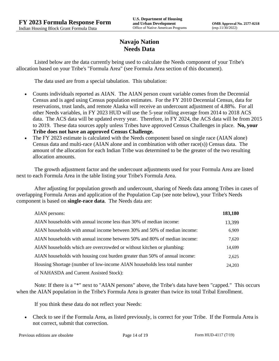# **Navajo Nation Needs Data**

Listed below are the data currently being used to calculate the Needs component of your Tribe's allocation based on your Tribe's "Formula Area" (see Formula Area section of this document).

The data used are from a special tabulation. This tabulation:

- Counts individuals reported as AIAN. The AIAN person count variable comes from the Decennial Census and is aged using Census population estimates. For the FY 2010 Decennial Census, data for reservations, trust lands, and remote Alaska will receive an undercount adjustment of 4.88%. For all other Needs variables, in FY 2023 HUD will use the 5-year rolling average from 2014 to 2018 ACS data. The ACS data will be updated every year. Therefore, in FY 2024, the ACS data will be from 2015 to 2019. These data sources apply unless Tribes have approved Census Challenges in place. **No, your Tribe does not have an approved Census Challenge.**
- The FY 2023 estimate is calculated with the Needs component based on single race (AIAN alone) Census data and multi-race (AIAN alone and in combination with other race(s)) Census data. The amount of the allocation for each Indian Tribe was determined to be the greater of the two resulting allocation amounts.

The growth adjustment factor and the undercount adjustments used for your Formula Area are listed next to each Formula Area in the table listing your Tribe's Formula Area.

After adjusting for population growth and undercount, sharing of Needs data among Tribes in cases of overlapping Formula Areas and application of the Population Cap (see note below), your Tribe's Needs component is based on **single-race data**. The Needs data are:

| AIAN persons:                                                               | 183,180 |
|-----------------------------------------------------------------------------|---------|
| AIAN households with annual income less than 30% of median income:          | 13,399  |
| AIAN households with annual income between 30% and 50% of median income:    | 6,909   |
| AIAN households with annual income between 50% and 80% of median income:    | 7,620   |
| AIAN households which are overcrowded or without kitchen or plumbing:       | 14,699  |
| AIAN households with housing cost burden greater than 50% of annual income: | 2,625   |
| Housing Shortage (number of low-income AIAN households less total number    | 24,203  |
| of NAHASDA and Current Assisted Stock):                                     |         |

Note: If there is a "\*" next to "AIAN persons" above, the Tribe's data have been "capped." This occurs when the AIAN population in the Tribe's Formula Area is greater than twice its total Tribal Enrollment.

If you think these data do not reflect your Needs:

 Check to see if the Formula Area, as listed previously, is correct for your Tribe. If the Formula Area is not correct, submit that correction.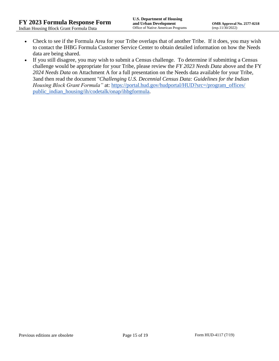- Check to see if the Formula Area for your Tribe overlaps that of another Tribe. If it does, you may wish to contact the IHBG Formula Customer Service Center to obtain detailed information on how the Needs data are being shared.
- If you still disagree, you may wish to submit a Census challenge. To determine if submitting a Census challenge would be appropriate for your Tribe, please review the *FY 2023 Needs Data* above and the FY *2024 Needs Data* on Attachment A for a full presentation on the Needs data available for your Tribe, 3and then read the document "*Challenging U.S. Decennial Census Data: Guidelines for the Indian Housing Block Grant Formula*" at: https://portal.hud.gov/hudportal/HUD?src=/program\_offices/ [public\\_indian\\_housing/ih/codetalk/onap/ihbgformula.](https://portal.hud.gov/hudportal/HUD?src=/program_offices/public_indian_housing/ih/codetalk/onap/ihbgformula)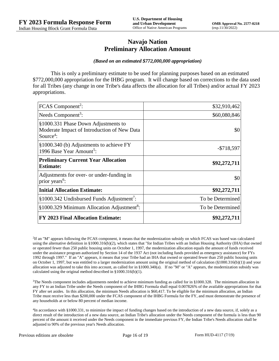## **Navajo Nation Preliminary Allocation Amount**

#### *(Based on an estimated \$772,000,000 appropriation)*

This is only a preliminary estimate to be used for planning purposes based on an estimated \$772,000,000 appropriation for the IHBG program. It will change based on corrections to the data used for all Tribes (any change in one Tribe's data affects the allocation for all Tribes) and/or actual FY 2023 appropriations.

| FCAS Component <sup>2</sup> :                                                                               | \$32,910,462     |
|-------------------------------------------------------------------------------------------------------------|------------------|
| Needs Component <sup>3</sup> :                                                                              | \$60,080,846     |
| §1000.331 Phase Down Adjustments to<br>Moderate Impact of Introduction of New Data<br>Source <sup>4</sup> : | \$0              |
| §1000.340 (b) Adjustments to achieve FY<br>1996 Base Year Amount <sup>5</sup> :                             | $-$718,597$      |
| <b>Preliminary Current Year Allocation</b><br><b>Estimate:</b>                                              | \$92,272,711     |
| Adjustments for over- or under-funding in<br>prior years <sup>6</sup> :                                     | \$0              |
| <b>Initial Allocation Estimate:</b>                                                                         | \$92,272,711     |
| §1000.342 Undisbursed Funds Adjustment <sup>7</sup> :                                                       | To be Determined |
| §1000.329 Minimum Allocation Adjustment <sup>8</sup> :                                                      | To be Determined |
| <b>FY 2023 Final Allocation Estimate:</b>                                                                   | \$92,272,711     |

2 If an "M" appears following the FCAS component, it means that the modernization subsidy on which FCAS was based was calculated using the alternative definition in §1000.316(b)(2), which states that "for Indian Tribes with an Indian Housing Authority (IHA) that owned or operated fewer than 250 public housing units on October 1, 1997, the modernization allocation equals the amount of funds received under the assistance program authorized by Section 14 of the 1937 Act (not including funds provided as emergency assistance) for FYs 1992 through 1997." If an "A" appears, it means that your Tribe had an IHA that owned or operated fewer than 250 public housing units on October 1, 1997, but was entitled to a larger modernization amount using the original method of calculation  $(\frac{81000.316(b)(1)}{2000.316(b)(1)})$  and your allocation was adjusted to take this into account, as called for in  $\S1000.340(a)$ . If no "M" or "A" appears, the modernization subsidy was calculated using the original method described in §1000.316(b)(1).

<sup>3</sup>The Needs component includes adjustments needed to achieve minimum funding as called for in §1000.328. The minimum allocation in any FY to an Indian Tribe under the Needs component of the IHBG Formula shall equal 0.007826% of the available appropriations for that FY after set asides. In this allocation, the minimum Needs allocation is \$60,417. To be eligible for the minimum allocation, an Indian Tribe must receive less than \$200,000 under the FCAS component of the IHBG Formula for the FY, and must demonstrate the presence of any households at or below 80 percent of median income.

<sup>4</sup>In accordance with §1000.331, to minimize the impact of funding changes based on the introduction of a new data source, if, solely as a direct result of the introduction of a new data source, an Indian Tribe's allocation under the Needs component of the formula is less than 90 percent of the amount it received under the Needs component in the immediate previous FY, the Indian Tribe's Needs allocation shall be adjusted to 90% of the previous year's Needs allocation.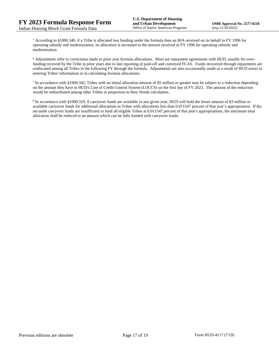<sup>5</sup> According to §1000.340, if a Tribe is allocated less funding under the formula than an IHA received on its behalf in FY 1996 for operating subsidy and modernization, its allocation is increased to the amount received in FY 1996 for operating subsidy and modernization.

<sup>6</sup> Adjustments refer to corrections made to prior year formula allocations. Most are repayment agreements with HUD, usually for overfunding received by the Tribe in prior years due to late reporting of paid-off and conveyed FCAS. Funds recovered through repayments are reallocated among all Tribes in the following FY through the formula. Adjustments are also occasionally made as a result of HUD errors in entering Tribes' information or in calculating formula allocations.

 $^7$  In accordance with §1000.342, Tribes with an initial allocation amount of \$5 million or greater may be subject to a reduction depending on the amount they have in HUD's Line of Credit Control System (LOCCS) on the first day of FY 2023. The amount of the reduction would be redistributed among other Tribes in proportion to their Needs calculation.

<sup>8</sup> In accordance with §1000.329, if carryover funds are available in any given year, HUD will hold the lesser amount of \$3 million or available carryover funds for additional allocations to Tribes with allocations less than 0.011547 percent of that year's appropriation. If the set-aside carryover funds are insufficient to fund all eligible Tribes at 0.011547 percent of that year's appropriations, the minimum total allocation shall be reduced to an amount which can be fully funded with carryover funds.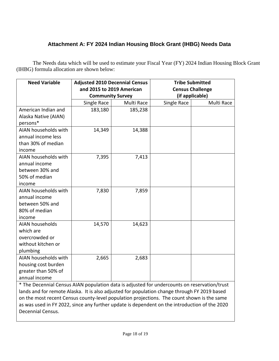# **Attachment A: FY 2024 Indian Housing Block Grant (IHBG) Needs Data**

The Needs data which will be used to estimate your Fiscal Year (FY) 2024 Indian Housing Block Grant (IHBG) formula allocation are shown below:

| <b>Need Variable</b>                                                                         | <b>Adjusted 2010 Decennial Census</b> |            | <b>Tribe Submitted</b>  |            |  |
|----------------------------------------------------------------------------------------------|---------------------------------------|------------|-------------------------|------------|--|
|                                                                                              | and 2015 to 2019 American             |            | <b>Census Challenge</b> |            |  |
|                                                                                              | <b>Community Survey</b>               |            | (if applicable)         |            |  |
|                                                                                              | Single Race                           | Multi Race | Single Race             | Multi Race |  |
| American Indian and                                                                          | 183,180                               | 185,238    |                         |            |  |
| Alaska Native (AIAN)                                                                         |                                       |            |                         |            |  |
| persons*                                                                                     |                                       |            |                         |            |  |
| AIAN households with                                                                         | 14,349                                | 14,388     |                         |            |  |
| annual income less                                                                           |                                       |            |                         |            |  |
| than 30% of median                                                                           |                                       |            |                         |            |  |
| income                                                                                       |                                       |            |                         |            |  |
| AIAN households with                                                                         | 7,395                                 | 7,413      |                         |            |  |
| annual income                                                                                |                                       |            |                         |            |  |
| between 30% and                                                                              |                                       |            |                         |            |  |
| 50% of median                                                                                |                                       |            |                         |            |  |
| income                                                                                       |                                       |            |                         |            |  |
| AIAN households with                                                                         | 7,830                                 | 7,859      |                         |            |  |
| annual income                                                                                |                                       |            |                         |            |  |
| between 50% and                                                                              |                                       |            |                         |            |  |
| 80% of median                                                                                |                                       |            |                         |            |  |
| income                                                                                       |                                       |            |                         |            |  |
| <b>AIAN households</b>                                                                       | 14,570                                | 14,623     |                         |            |  |
| which are                                                                                    |                                       |            |                         |            |  |
| overcrowded or                                                                               |                                       |            |                         |            |  |
| without kitchen or                                                                           |                                       |            |                         |            |  |
| plumbing                                                                                     |                                       |            |                         |            |  |
| AIAN households with                                                                         | 2,665                                 | 2,683      |                         |            |  |
| housing cost burden                                                                          |                                       |            |                         |            |  |
| greater than 50% of                                                                          |                                       |            |                         |            |  |
| annual income                                                                                |                                       |            |                         |            |  |
| * The Decennial Census AIAN population data is adjusted for undercounts on reservation/trust |                                       |            |                         |            |  |

lands and for remote Alaska. It is also adjusted for population change through FY 2019 based on the most recent Census county-level population projections. The count shown is the same as was used in FY 2022, since any further update is dependent on the introduction of the 2020 Decennial Census.